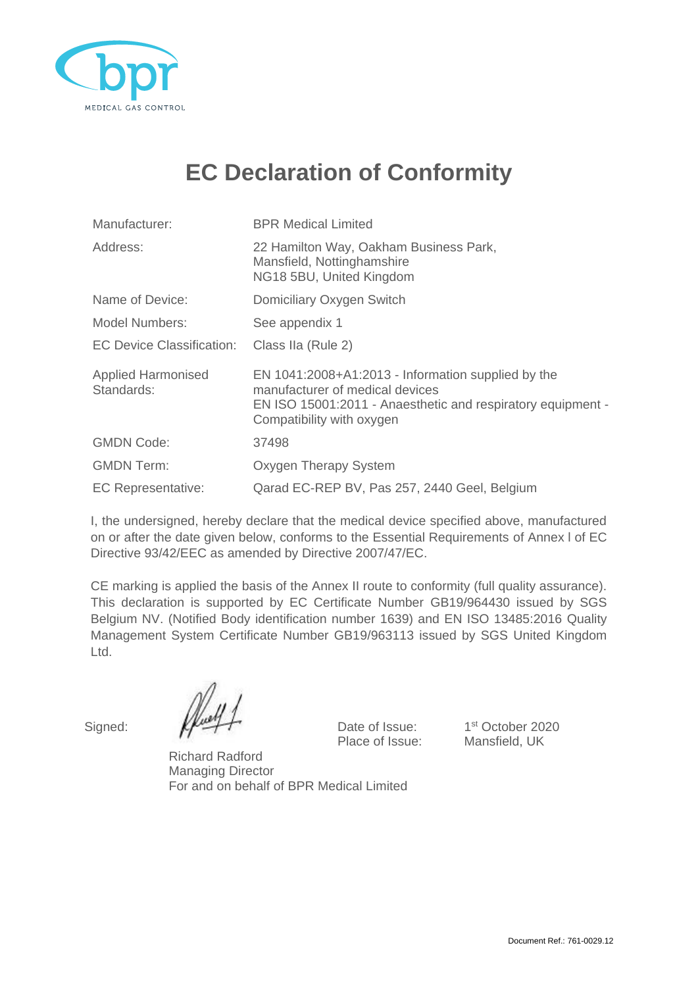

## **EC Declaration of Conformity**

| Manufacturer:                           | <b>BPR Medical Limited</b>                                                                                                                                                        |  |
|-----------------------------------------|-----------------------------------------------------------------------------------------------------------------------------------------------------------------------------------|--|
| Address:                                | 22 Hamilton Way, Oakham Business Park,<br>Mansfield, Nottinghamshire<br>NG18 5BU, United Kingdom                                                                                  |  |
| Name of Device:                         | Domiciliary Oxygen Switch                                                                                                                                                         |  |
| Model Numbers:                          | See appendix 1                                                                                                                                                                    |  |
| <b>EC Device Classification:</b>        | Class IIa (Rule 2)                                                                                                                                                                |  |
| <b>Applied Harmonised</b><br>Standards: | EN 1041:2008+A1:2013 - Information supplied by the<br>manufacturer of medical devices<br>EN ISO 15001:2011 - Anaesthetic and respiratory equipment -<br>Compatibility with oxygen |  |
| <b>GMDN Code:</b>                       | 37498                                                                                                                                                                             |  |
| <b>GMDN Term:</b>                       | Oxygen Therapy System                                                                                                                                                             |  |
| <b>EC Representative:</b>               | Qarad EC-REP BV, Pas 257, 2440 Geel, Belgium                                                                                                                                      |  |

I, the undersigned, hereby declare that the medical device specified above, manufactured on or after the date given below, conforms to the Essential Requirements of Annex l of EC Directive 93/42/EEC as amended by Directive 2007/47/EC.

CE marking is applied the basis of the Annex II route to conformity (full quality assurance). This declaration is supported by EC Certificate Number GB19/964430 issued by SGS Belgium NV. (Notified Body identification number 1639) and EN ISO 13485:2016 Quality Management System Certificate Number GB19/963113 issued by SGS United Kingdom Ltd.

Signed:  $\mathbb{Z}^2$  Date of Issue: Place of Issue: Mansfield, UK

1<sup>st</sup> October 2020

Richard Radford Managing Director For and on behalf of BPR Medical Limited